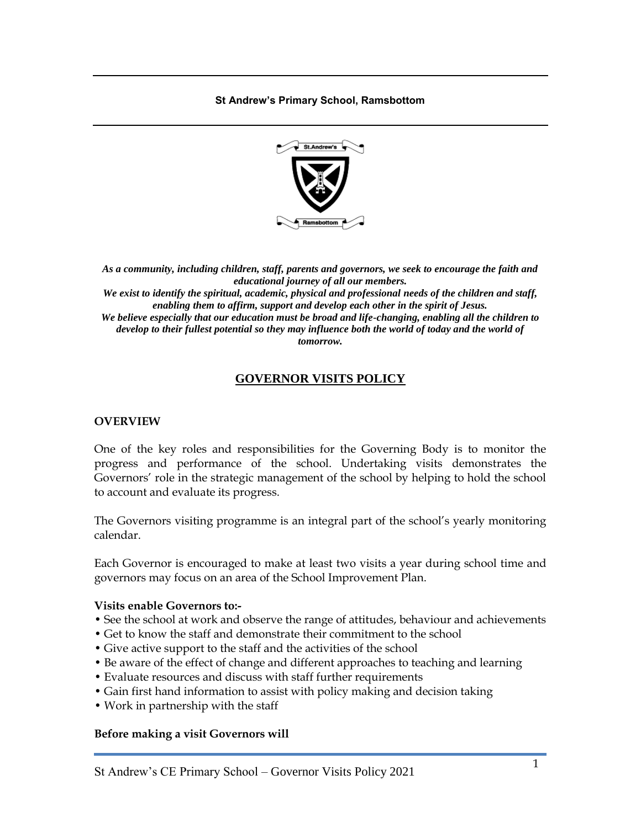**St Andrew's Primary School, Ramsbottom**



*As a community, including children, staff, parents and governors, we seek to encourage the faith and educational journey of all our members.*

*We exist to identify the spiritual, academic, physical and professional needs of the children and staff, enabling them to affirm, support and develop each other in the spirit of Jesus. We believe especially that our education must be broad and life-changing, enabling all the children to develop to their fullest potential so they may influence both the world of today and the world of* 

*tomorrow.*

# **GOVERNOR VISITS POLICY**

## **OVERVIEW**

One of the key roles and responsibilities for the Governing Body is to monitor the progress and performance of the school. Undertaking visits demonstrates the Governors' role in the strategic management of the school by helping to hold the school to account and evaluate its progress.

The Governors visiting programme is an integral part of the school's yearly monitoring calendar.

Each Governor is encouraged to make at least two visits a year during school time and governors may focus on an area of the School Improvement Plan.

#### **Visits enable Governors to:-**

- See the school at work and observe the range of attitudes, behaviour and achievements
- Get to know the staff and demonstrate their commitment to the school
- Give active support to the staff and the activities of the school
- Be aware of the effect of change and different approaches to teaching and learning
- Evaluate resources and discuss with staff further requirements
- Gain first hand information to assist with policy making and decision taking
- Work in partnership with the staff

#### **Before making a visit Governors will**